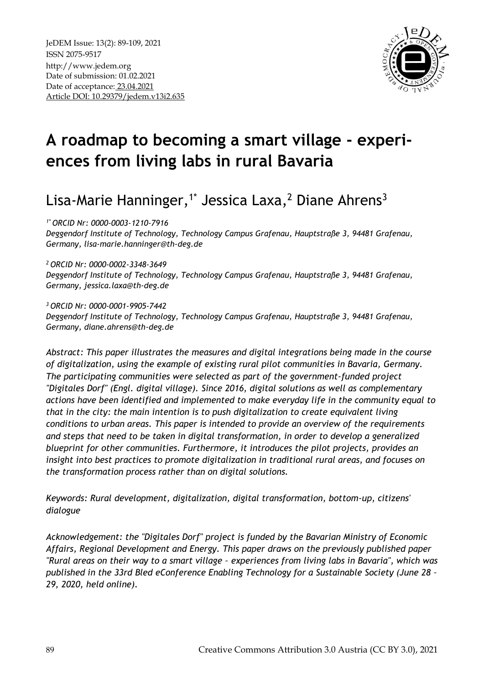

# **A roadmap to becoming a smart village - experiences from living labs in rural Bavaria**

# Lisa-Marie Hanninger,<sup>1\*</sup> Jessica Laxa,<sup>2</sup> Diane Ahrens<sup>3</sup>

*1\* ORCID Nr: 0000-0003-1210-7916*

*Deggendorf Institute of Technology, Technology Campus Grafenau, Hauptstraße 3, 94481 Grafenau, Germany, lisa-marie.hanninger@th-deg.de*

*<sup>2</sup>ORCID Nr: 0000-0002-3348-3649*

*Deggendorf Institute of Technology, Technology Campus Grafenau, Hauptstraße 3, 94481 Grafenau, Germany, jessica.laxa@th-deg.de*

*<sup>3</sup>ORCID Nr: 0000-0001-9905-7442 Deggendorf Institute of Technology, Technology Campus Grafenau, Hauptstraße 3, 94481 Grafenau, Germany, diane.ahrens@th-deg.de*

*Abstract: This paper illustrates the measures and digital integrations being made in the course of digitalization, using the example of existing rural pilot communities in Bavaria, Germany. The participating communities were selected as part of the government-funded project "Digitales Dorf" (Engl. digital village). Since 2016, digital solutions as well as complementary actions have been identified and implemented to make everyday life in the community equal to that in the city: the main intention is to push digitalization to create equivalent living conditions to urban areas. This paper is intended to provide an overview of the requirements and steps that need to be taken in digital transformation, in order to develop a generalized blueprint for other communities. Furthermore, it introduces the pilot projects, provides an insight into best practices to promote digitalization in traditional rural areas, and focuses on the transformation process rather than on digital solutions.*

*Keywords: Rural development, digitalization, digital transformation, bottom-up, citizens' dialogue*

*Acknowledgement: the "Digitales Dorf" project is funded by the Bavarian Ministry of Economic Affairs, Regional Development and Energy. This paper draws on the previously published paper "Rural areas on their way to a smart village – experiences from living labs in Bavaria", which was published in the 33rd Bled eConference Enabling Technology for a Sustainable Society (June 28 – 29, 2020, held online).*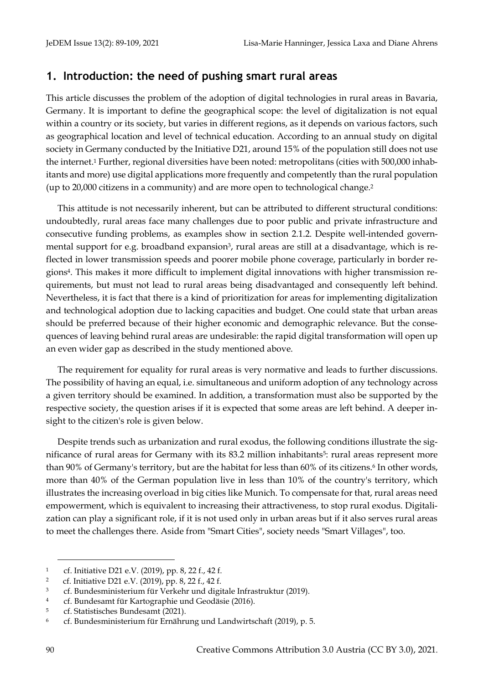## **1. Introduction: the need of pushing smart rural areas**

This article discusses the problem of the adoption of digital technologies in rural areas in Bavaria, Germany. It is important to define the geographical scope: the level of digitalization is not equal within a country or its society, but varies in different regions, as it depends on various factors, such as geographical location and level of technical education. According to an annual study on digital society in Germany conducted by the Initiative D21, around 15% of the population still does not use the internet.<sup>1</sup> Further, regional diversities have been noted: metropolitans (cities with 500,000 inhabitants and more) use digital applications more frequently and competently than the rural population (up to 20,000 citizens in a community) and are more open to technological change.<sup>2</sup>

This attitude is not necessarily inherent, but can be attributed to different structural conditions: undoubtedly, rural areas face many challenges due to poor public and private infrastructure and consecutive funding problems, as examples show in section [2.1.2.](#page-3-0) Despite well-intended governmental support for e.g. broadband expansion<sup>3</sup>, rural areas are still at a disadvantage, which is reflected in lower transmission speeds and poorer mobile phone coverage, particularly in border regions4. This makes it more difficult to implement digital innovations with higher transmission requirements, but must not lead to rural areas being disadvantaged and consequently left behind. Nevertheless, it is fact that there is a kind of prioritization for areas for implementing digitalization and technological adoption due to lacking capacities and budget. One could state that urban areas should be preferred because of their higher economic and demographic relevance. But the consequences of leaving behind rural areas are undesirable: the rapid digital transformation will open up an even wider gap as described in the study mentioned above.

The requirement for equality for rural areas is very normative and leads to further discussions. The possibility of having an equal, i.e. simultaneous and uniform adoption of any technology across a given territory should be examined. In addition, a transformation must also be supported by the respective society, the question arises if it is expected that some areas are left behind. A deeper insight to the citizen's role is given below.

Despite trends such as urbanization and rural exodus, the following conditions illustrate the significance of rural areas for Germany with its 83.2 million inhabitants<sup>5</sup>: rural areas represent more than 90% of Germany's territory, but are the habitat for less than 60% of its citizens.<sup>6</sup> In other words, more than 40% of the German population live in less than 10% of the country's territory, which illustrates the increasing overload in big cities like Munich. To compensate for that, rural areas need empowerment, which is equivalent to increasing their attractiveness, to stop rural exodus. Digitalization can play a significant role, if it is not used only in urban areas but if it also serves rural areas to meet the challenges there. Aside from "Smart Cities", society needs "Smart Villages", too.

<sup>1</sup> cf. Initiative D21 e.V. (2019), pp. 8, 22 f., 42 f.

<sup>2</sup> cf. Initiative D21 e.V. (2019), pp. 8, 22 f., 42 f.

<sup>3</sup> cf. Bundesministerium für Verkehr und digitale Infrastruktur (2019).

<sup>4</sup> cf. [Bundesamt](https://breitbandmessung.de/kartenansicht-funkloch) für Kartographie und Geodäsie (2016).

<sup>5</sup> cf. Statistisches Bundesamt (2021).

<sup>6</sup> cf. Bundesministerium für Ernährung und Landwirtschaft (2019), p. 5.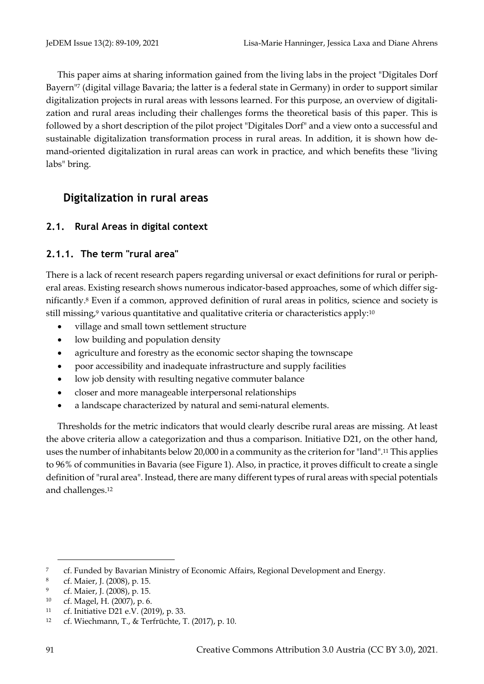This paper aims at sharing information gained from the living labs in the project "Digitales Dorf Bayern"<sup>7</sup> (digital village Bavaria; the latter is a federal state in Germany) in order to support similar digitalization projects in rural areas with lessons learned. For this purpose, an overview of digitalization and rural areas including their challenges forms the theoretical basis of this paper. This is followed by a short description of the pilot project "Digitales Dorf" and a view onto a successful and sustainable digitalization transformation process in rural areas. In addition, it is shown how demand-oriented digitalization in rural areas can work in practice, and which benefits these "living labs" bring.

# **Digitalization in rural areas**

## **2.1. Rural Areas in digital context**

## **2.1.1. The term "rural area"**

There is a lack of recent research papers regarding universal or exact definitions for rural or peripheral areas. Existing research shows numerous indicator-based approaches, some of which differ significantly.<sup>8</sup> Even if a common, approved definition of rural areas in politics, science and society is still missing,<sup>9</sup> various quantitative and qualitative criteria or characteristics apply:<sup>10</sup>

- village and small town settlement structure
- low building and population density
- agriculture and forestry as the economic sector shaping the townscape
- poor accessibility and inadequate infrastructure and supply facilities
- low job density with resulting negative commuter balance
- closer and more manageable interpersonal relationships
- a landscape characterized by natural and semi-natural elements.

Thresholds for the metric indicators that would clearly describe rural areas are missing. At least the above criteria allow a categorization and thus a comparison. Initiative D21, on the other hand, uses the number of inhabitants below 20,000 in a community as the criterion for "land".<sup>11</sup> This applies to 96% of communities in Bavaria (se[e Figure 1\)](#page-3-1). Also, in practice, it proves difficult to create a single definition of "rural area". Instead, there are many different types of rural areas with special potentials and challenges.<sup>12</sup>

<sup>7</sup> cf. Funded by Bavarian Ministry of Economic Affairs, Regional Development and Energy.

<sup>8</sup> cf. Maier, J. (2008), p. 15.

<sup>9</sup> cf. Maier, J. (2008), p. 15.

<sup>10</sup> cf. Magel, H. (2007), p. 6.

<sup>11</sup> cf. Initiative D21 e.V. (2019), p. 33.

<sup>12</sup> cf. Wiechmann, T., & Terfrüchte, T. (2017), p. 10.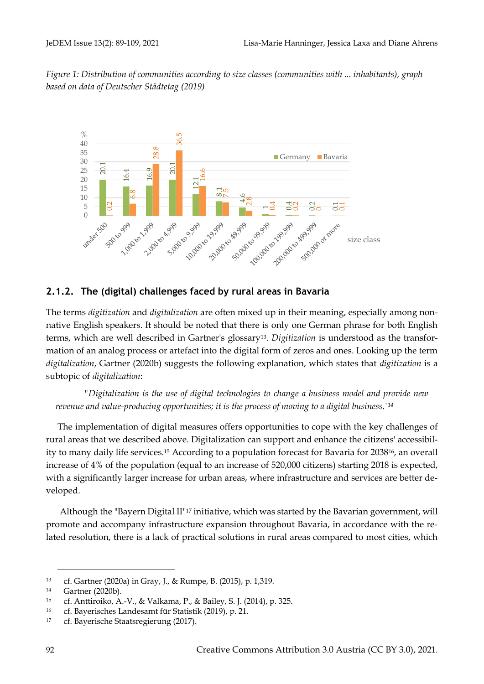<span id="page-3-1"></span>*Figure 1: Distribution of communities according to size classes (communities with ... inhabitants), graph based on data of Deutscher Städtetag (2019)*



## <span id="page-3-0"></span>**2.1.2. The (digital) challenges faced by rural areas in Bavaria**

The terms *digitization* and *digitalization* are often mixed up in their meaning, especially among nonnative English speakers. It should be noted that there is only one German phrase for both English terms, which are well described in Gartner's glossary13. *Digitization* is understood as the transformation of an analog process or artefact into the digital form of zeros and ones. Looking up the term *digitalization*, Gartner (2020b) suggests the following explanation, which states that *digitization* is a subtopic of *digitalization*:

*"Digitalization is the use of digital technologies to change a business model and provide new revenue and value-producing opportunities; it is the process of moving to a digital business."14*

The implementation of digital measures offers opportunities to cope with the key challenges of rural areas that we described above. Digitalization can support and enhance the citizens' accessibility to many daily life services.<sup>15</sup> According to a population forecast for Bavaria for 203816, an overall increase of 4% of the population (equal to an increase of 520,000 citizens) starting 2018 is expected, with a significantly larger increase for urban areas, where infrastructure and services are better developed.

Although the "Bayern Digital II"<sup>17</sup> initiative, which was started by the Bavarian government, will promote and accompany infrastructure expansion throughout Bavaria, in accordance with the related resolution, there is a lack of practical solutions in rural areas compared to most cities, which

<sup>13</sup> cf. Gartner (2020a) in Gray, J., & Rumpe, B. (2015), p. 1,319.

<sup>14</sup> [Gartner \(2020b\).](https://www.gartner.com/en/information-technology/glossary/digitalization)

<sup>15</sup> cf. Anttiroiko, A.-V., & Valkama, P., & Bailey, S. J. (2014), p. 325.

<sup>16</sup> cf. Bayerisches Landesamt für Statistik (2019), p. 21.

<sup>17</sup>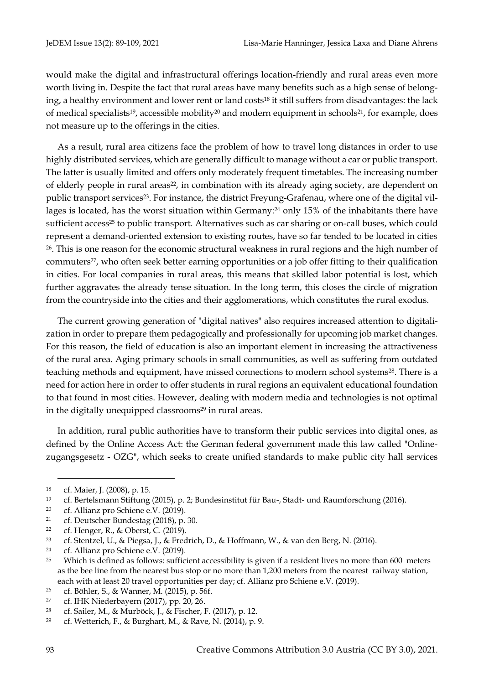would make the digital and infrastructural offerings location-friendly and rural areas even more worth living in. Despite the fact that rural areas have many benefits such as a high sense of belonging, a healthy environment and lower rent or land costs<sup>18</sup> it still suffers from disadvantages: the lack of medical specialists<sup>19</sup>, accessible mobility<sup>20</sup> and modern equipment in schools<sup>21</sup>, for example, does not measure up to the offerings in the cities.

As a result, rural area citizens face the problem of how to travel long distances in order to use highly distributed services, which are generally difficult to manage without a car or public transport. The latter is usually limited and offers only moderately frequent timetables. The increasing number of elderly people in rural areas<sup>22</sup>, in combination with its already aging society, are dependent on public transport services23. For instance, the district Freyung-Grafenau, where one of the digital villages is located, has the worst situation within Germany:<sup>24</sup> only 15% of the inhabitants there have sufficient access<sup>25</sup> to public transport. Alternatives such as car sharing or on-call buses, which could represent a demand-oriented extension to existing routes, have so far tended to be located in cities <sup>26</sup>. This is one reason for the economic structural weakness in rural regions and the high number of commuters27, who often seek better earning opportunities or a job offer fitting to their qualification in cities. For local companies in rural areas, this means that skilled labor potential is lost, which further aggravates the already tense situation. In the long term, this closes the circle of migration from the countryside into the cities and their agglomerations, which constitutes the rural exodus.

The current growing generation of "digital natives" also requires increased attention to digitalization in order to prepare them pedagogically and professionally for upcoming job market changes. For this reason, the field of education is also an important element in increasing the attractiveness of the rural area. Aging primary schools in small communities, as well as suffering from outdated teaching methods and equipment, have missed connections to modern school systems<sup>28</sup>. There is a need for action here in order to offer students in rural regions an equivalent educational foundation to that found in most cities. However, dealing with modern media and technologies is not optimal in the digitally unequipped classrooms<sup>29</sup> in rural areas.

In addition, rural public authorities have to transform their public services into digital ones, as defined by the Online Access Act: the German federal government made this law called "Onlinezugangsgesetz - OZG", which seeks to create unified standards to make public city hall services

<sup>18</sup> cf. Maier, J. (2008), p. 15.

<sup>19</sup> cf. Bertelsmann Stiftung (2015), p. 2; Bundesinstitut für Bau-, Stadt- und Raumforschung (2016).

<sup>20</sup> cf. Allianz pro Schiene e.V. (2019).

<sup>21</sup> cf. Deutscher Bundestag (2018), p. 30.

<sup>22</sup> cf. Henger, R., & Oberst, C. (2019).

<sup>23</sup> cf. Stentzel, U., & Piegsa, J., & Fredrich, D., & Hoffmann, W., & van den Berg, N. (2016).

<sup>24</sup> cf. Allianz pro Schiene e.V. (2019).

<sup>25</sup> Which is defined as follows: sufficient accessibility is given if a resident lives no more than 600 meters as the bee line from the nearest bus stop or no more than 1,200 meters from the nearest railway station, each with at least 20 travel opportunities per day; cf. Allianz pro Schiene e.V. (2019).

<sup>26</sup> cf. Böhler, S., & Wanner, M. (2015), p. 56f.

<sup>27</sup> cf. IHK Niederbayern (2017), pp. 20, 26.

<sup>28</sup> cf. Sailer, M., & Murböck, J., & Fischer, F. (2017), p. 12.

<sup>29</sup> cf. Wetterich, F., & Burghart, M., & Rave, N. (2014), p. 9.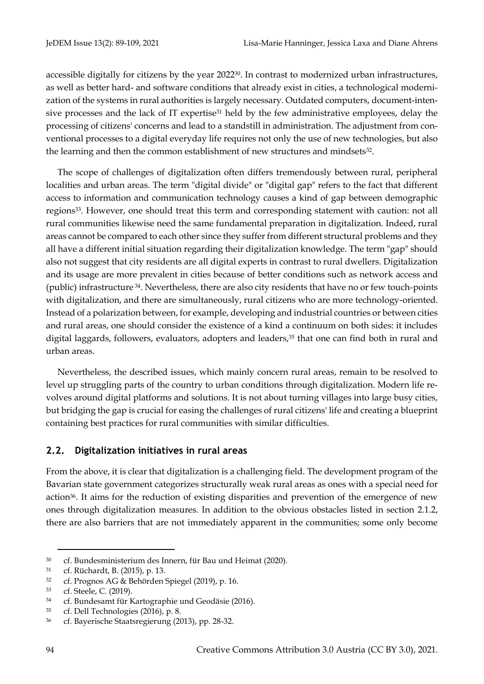accessible digitally for citizens by the year 2022<sup>30</sup>. In contrast to modernized urban infrastructures, as well as better hard- and software conditions that already exist in cities, a technological modernization of the systems in rural authorities is largely necessary. Outdated computers, document-intensive processes and the lack of IT expertise<sup>31</sup> held by the few administrative employees, delay the processing of citizens' concerns and lead to a standstill in administration. The adjustment from conventional processes to a digital everyday life requires not only the use of new technologies, but also the learning and then the common establishment of new structures and mindsets32.

The scope of challenges of digitalization often differs tremendously between rural, peripheral localities and urban areas. The term "digital divide" or "digital gap" refers to the fact that different access to information and communication technology causes a kind of gap between demographic regions33. However, one should treat this term and corresponding statement with caution: not all rural communities likewise need the same fundamental preparation in digitalization. Indeed, rural areas cannot be compared to each other since they suffer from different structural problems and they all have a different initial situation regarding their digitalization knowledge. The term "gap" should also not suggest that city residents are all digital experts in contrast to rural dwellers. Digitalization and its usage are more prevalent in cities because of better conditions such as network access and (public) infrastructure <sup>34</sup>. Nevertheless, there are also city residents that have no or few touch-points with digitalization, and there are simultaneously, rural citizens who are more technology-oriented. Instead of a polarization between, for example, developing and industrial countries or between cities and rural areas, one should consider the existence of a kind a continuum on both sides: it includes digital laggards, followers, evaluators, adopters and leaders,<sup>35</sup> that one can find both in rural and urban areas.

Nevertheless, the described issues, which mainly concern rural areas, remain to be resolved to level up struggling parts of the country to urban conditions through digitalization. Modern life revolves around digital platforms and solutions. It is not about turning villages into large busy cities, but bridging the gap is crucial for easing the challenges of rural citizens' life and creating a blueprint containing best practices for rural communities with similar difficulties.

#### **2.2. Digitalization initiatives in rural areas**

From the above, it is clear that digitalization is a challenging field. The development program of the Bavarian state government categorizes structurally weak rural areas as ones with a special need for action36. It aims for the reduction of existing disparities and prevention of the emergence of new ones through digitalization measures. In addition to the obvious obstacles listed in section [2.1.2,](#page-3-0) there are also barriers that are not immediately apparent in the communities; some only become

<sup>30</sup> cf. Bundesministerium des Innern, für Bau und Heimat (2020).

<sup>31</sup> cf. Rüchardt, B. (2015), p. 13.

<sup>32</sup> cf. Prognos AG & Behörden Spiegel (2019), p. 16.

<sup>33</sup> cf. Steele, C. (2019).

<sup>34</sup> cf. Bundesamt für Kartographie und Geodäsie (2016).

<sup>35</sup> cf. Dell Technologies (2016), p. 8.

<sup>36</sup> cf. Bayerische Staatsregierung (2013), pp. 28-32.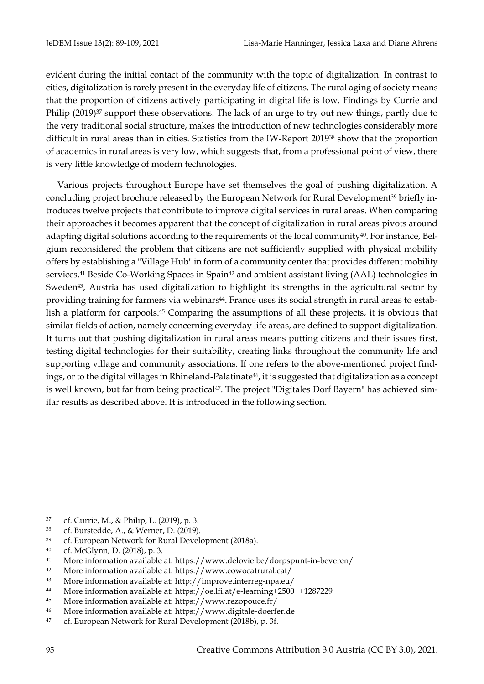evident during the initial contact of the community with the topic of digitalization. In contrast to cities, digitalization is rarely present in the everyday life of citizens. The rural aging of society means that the proportion of citizens actively participating in digital life is low. Findings by Currie and Philip (2019)<sup>37</sup> support these observations. The lack of an urge to try out new things, partly due to the very traditional social structure, makes the introduction of new technologies considerably more difficult in rural areas than in cities. Statistics from the IW-Report 2019<sup>38</sup> show that the proportion of academics in rural areas is very low, which suggests that, from a professional point of view, there is very little knowledge of modern technologies.

Various projects throughout Europe have set themselves the goal of pushing digitalization. A concluding project brochure released by the European Network for Rural Development<sup>39</sup> briefly introduces twelve projects that contribute to improve digital services in rural areas. When comparing their approaches it becomes apparent that the concept of digitalization in rural areas pivots around adapting digital solutions according to the requirements of the local community<sup>40</sup>. For instance, Belgium reconsidered the problem that citizens are not sufficiently supplied with physical mobility offers by establishing a "Village Hub" in form of a community center that provides different mobility services.<sup>41</sup> Beside Co-Working Spaces in Spain<sup>42</sup> and ambient assistant living (AAL) technologies in Sweden<sup>43</sup>, Austria has used digitalization to highlight its strengths in the agricultural sector by providing training for farmers via webinars44. France uses its social strength in rural areas to establish a platform for carpools.<sup>45</sup> Comparing the assumptions of all these projects, it is obvious that similar fields of action, namely concerning everyday life areas, are defined to support digitalization. It turns out that pushing digitalization in rural areas means putting citizens and their issues first, testing digital technologies for their suitability, creating links throughout the community life and supporting village and community associations. If one refers to the above-mentioned project findings, or to the digital villages in Rhineland-Palatinate<sup>46</sup>, it is suggested that digitalization as a concept is well known, but far from being practical<sup>47</sup>. The project "Digitales Dorf Bayern" has achieved similar results as described above. It is introduced in the following section.

<sup>37</sup> cf. Currie, M., & Philip, L. (2019), p. 3.

<sup>38</sup> cf. Burstedde, A., & Werner, D. (2019).

<sup>39</sup> cf. European Network for Rural Development (2018a).

<sup>40</sup> cf. [McGlynn,](https://enrd.ec.europa.eu/sites/enrd/files/enrd_publications/publi-eafrd-brochure-07-de_2018.pdf) D. (2018), p. 3.

<sup>41</sup> More information available at:<https://www.delovie.be/dorpspunt-in-beveren/>

<sup>42</sup> More information available at:<https://www.cowocatrural.cat/>

<sup>43</sup> More information available at:<http://improve.interreg-npa.eu/>

<sup>44</sup> More information available at:<https://oe.lfi.at/e-learning+2500++1287229>

<sup>45</sup> More information available at:<https://www.rezopouce.fr/>

<sup>46</sup> More information available at: https://www.digitale-doerfer.de

<sup>47</sup> cf. European Network for Rural Development (2018b), p. 3f.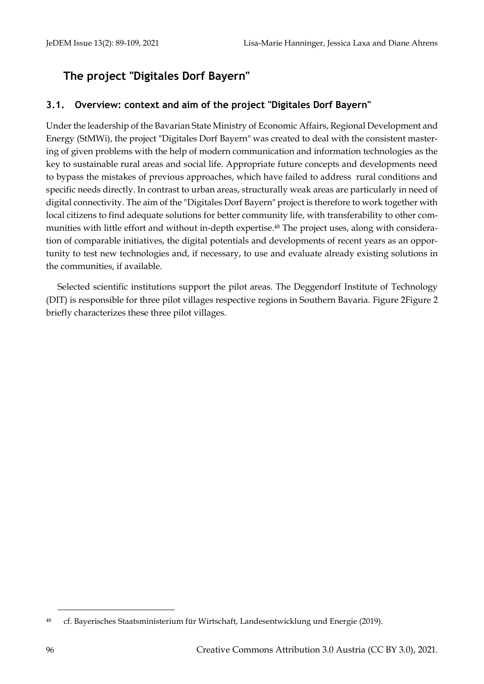# **The project "Digitales Dorf Bayern"**

## **3.1. Overview: context and aim of the project "Digitales Dorf Bayern"**

Under the leadership of the Bavarian State Ministry of Economic Affairs, Regional Development and Energy (StMWi), the project "Digitales Dorf Bayern" was created to deal with the consistent mastering of given problems with the help of modern communication and information technologies as the key to sustainable rural areas and social life. Appropriate future concepts and developments need to bypass the mistakes of previous approaches, which have failed to address rural conditions and specific needs directly. In contrast to urban areas, structurally weak areas are particularly in need of digital connectivity. The aim of the "Digitales Dorf Bayern" project is therefore to work together with local citizens to find adequate solutions for better community life, with transferability to other communities with little effort and without in-depth expertise.<sup>48</sup> The project uses, along with consideration of comparable initiatives, the digital potentials and developments of recent years as an opportunity to test new technologies and, if necessary, to use and evaluate already existing solutions in the communities, if available.

Selected scientific institutions support the pilot areas. The Deggendorf Institute of Technology (DIT) is responsible for three pilot villages respective regions in Southern Bavaria. [Figure 2Figure 2](#page-8-0) briefly characterizes these three pilot villages.

<sup>48</sup> cf. Bayerisches Staatsministerium für Wirtschaft, Landesentwicklung und Energie (2019).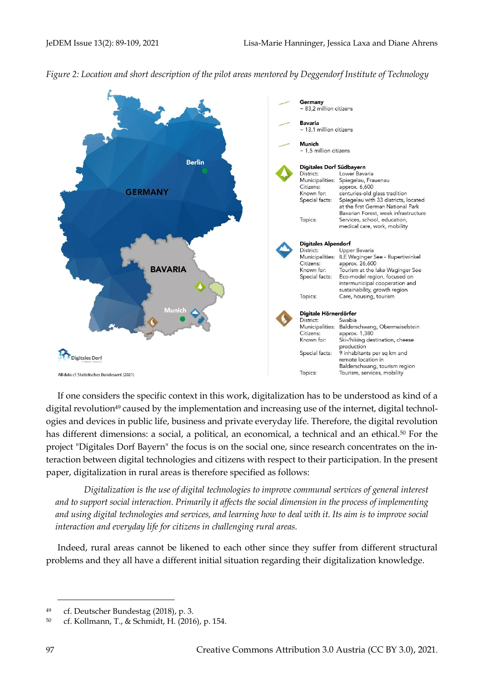<span id="page-8-0"></span>



If one considers the specific context in this work, digitalization has to be understood as kind of a digital revolution<sup>49</sup> caused by the implementation and increasing use of the internet, digital technologies and devices in public life, business and private everyday life. Therefore, the digital revolution has different dimensions: a social, a political, an economical, a technical and an ethical.<sup>50</sup> For the project "Digitales Dorf Bayern" the focus is on the social one, since research concentrates on the interaction between digital technologies and citizens with respect to their participation. In the present paper, digitalization in rural areas is therefore specified as follows:

*Digitalization is the use of digital technologies to improve communal services of general interest and to support social interaction. Primarily it affects the social dimension in the process of implementing and using digital technologies and services, and learning how to deal with it. Its aim is to improve social interaction and everyday life for citizens in challenging rural areas.* 

Indeed, rural areas cannot be likened to each other since they suffer from different structural problems and they all have a different initial situation regarding their digitalization knowledge.

<sup>49</sup> cf. Deutscher Bundestag (2018), p. 3.

<sup>50</sup> cf. Kollmann, T., & Schmidt, H. (2016), p. 154.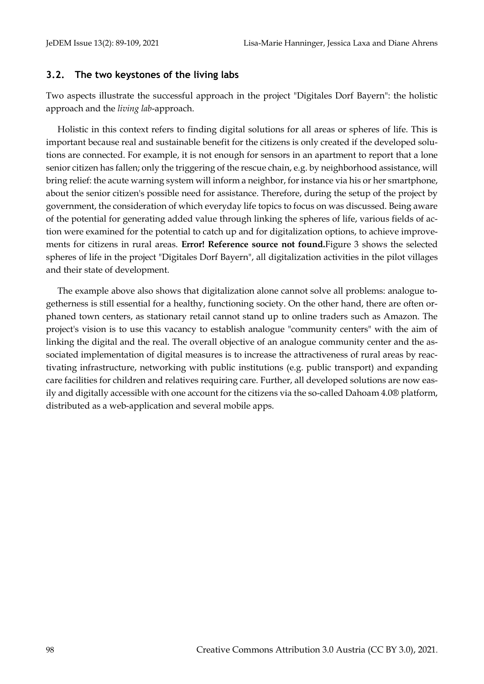#### **3.2. The two keystones of the living labs**

Two aspects illustrate the successful approach in the project "Digitales Dorf Bayern": the holistic approach and the *living lab*-approach.

Holistic in this context refers to finding digital solutions for all areas or spheres of life. This is important because real and sustainable benefit for the citizens is only created if the developed solutions are connected. For example, it is not enough for sensors in an apartment to report that a lone senior citizen has fallen; only the triggering of the rescue chain, e.g. by neighborhood assistance, will bring relief: the acute warning system will inform a neighbor, for instance via his or her smartphone, about the senior citizen's possible need for assistance. Therefore, during the setup of the project by government, the consideration of which everyday life topics to focus on was discussed. Being aware of the potential for generating added value through linking the spheres of life, various fields of action were examined for the potential to catch up and for digitalization options, to achieve improvements for citizens in rural areas. **Error! Reference source not found.**[Figure 3](#page-10-0) shows the selected spheres of life in the project "Digitales Dorf Bayern", all digitalization activities in the pilot villages and their state of development.

The example above also shows that digitalization alone cannot solve all problems: analogue togetherness is still essential for a healthy, functioning society. On the other hand, there are often orphaned town centers, as stationary retail cannot stand up to online traders such as Amazon. The project's vision is to use this vacancy to establish analogue "community centers" with the aim of linking the digital and the real. The overall objective of an analogue community center and the associated implementation of digital measures is to increase the attractiveness of rural areas by reactivating infrastructure, networking with public institutions (e.g. public transport) and expanding care facilities for children and relatives requiring care. Further, all developed solutions are now easily and digitally accessible with one account for the citizens via the so-called Dahoam 4.0® platform, distributed as a web-application and several mobile apps.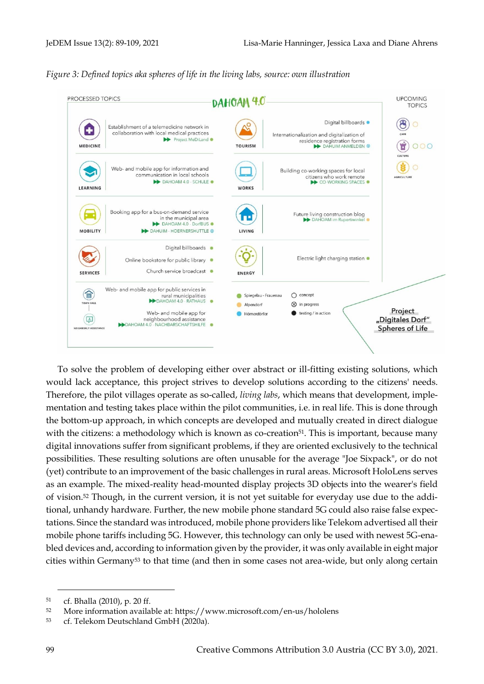<span id="page-10-0"></span>



To solve the problem of developing either over abstract or ill-fitting existing solutions, which would lack acceptance, this project strives to develop solutions according to the citizens' needs. Therefore, the pilot villages operate as so-called, *living labs*, which means that development, implementation and testing takes place within the pilot communities, i.e. in real life. This is done through the bottom-up approach, in which concepts are developed and mutually created in direct dialogue with the citizens: a methodology which is known as co-creation<sup>51</sup>. This is important, because many digital innovations suffer from significant problems, if they are oriented exclusively to the technical possibilities. These resulting solutions are often unusable for the average "Joe Sixpack", or do not (yet) contribute to an improvement of the basic challenges in rural areas. Microsoft HoloLens serves as an example. The mixed-reality head-mounted display projects 3D objects into the wearer's field of vision.<sup>52</sup> Though, in the current version, it is not yet suitable for everyday use due to the additional, unhandy hardware. Further, the new mobile phone standard 5G could also raise false expectations. Since the standard was introduced, mobile phone providers like Telekom advertised all their mobile phone tariffs including 5G. However, this technology can only be used with newest 5G-enabled devices and, according to information given by the provider, it was only available in eight major cities within Germany<sup>53</sup> to that time (and then in some cases not area-wide, but only along certain

<sup>51</sup> cf. Bhalla (2010), p. 20 ff.

<sup>52</sup> More information available at:<https://www.microsoft.com/en-us/hololens>

<sup>53</sup> cf. Telekom Deutschland GmbH (2020a).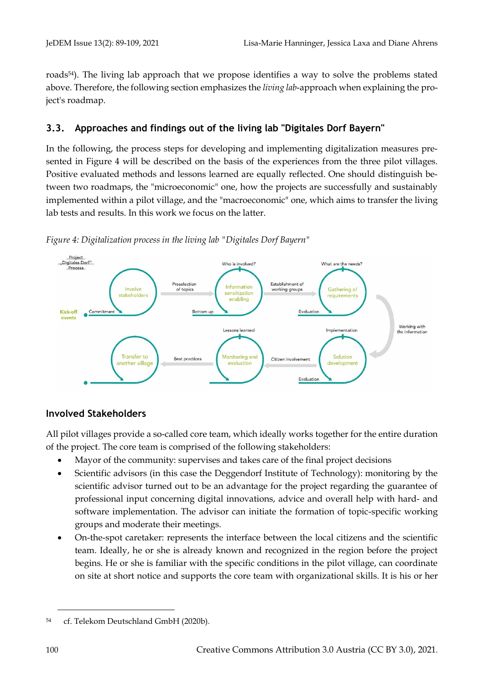roads<sup>54</sup>). The living lab approach that we propose identifies a way to solve the problems stated above. Therefore, the following section emphasizes the *living lab*-approach when explaining the project's roadmap.

## **3.3. Approaches and findings out of the living lab "Digitales Dorf Bayern"**

In the following, the process steps for developing and implementing digitalization measures presented in [Figure 4](#page-11-0) will be described on the basis of the experiences from the three pilot villages. Positive evaluated methods and lessons learned are equally reflected. One should distinguish between two roadmaps, the "microeconomic" one, how the projects are successfully and sustainably implemented within a pilot village, and the "macroeconomic" one, which aims to transfer the living lab tests and results. In this work we focus on the latter.



<span id="page-11-0"></span>*Figure 4: Digitalization process in the living lab "Digitales Dorf Bayern"*

## **Involved Stakeholders**

All pilot villages provide a so-called core team, which ideally works together for the entire duration of the project. The core team is comprised of the following stakeholders:

- Mayor of the community: supervises and takes care of the final project decisions
- Scientific advisors (in this case the Deggendorf Institute of Technology): monitoring by the scientific advisor turned out to be an advantage for the project regarding the guarantee of professional input concerning digital innovations, advice and overall help with hard- and software implementation. The advisor can initiate the formation of topic-specific working groups and moderate their meetings.
- On-the-spot caretaker: represents the interface between the local citizens and the scientific team. Ideally, he or she is already known and recognized in the region before the project begins. He or she is familiar with the specific conditions in the pilot village, can coordinate on site at short notice and supports the core team with organizational skills. It is his or her

<sup>54</sup> cf. [Telekom](https://www.telekom.de/start/netzausbau) Deutschland GmbH (2020b).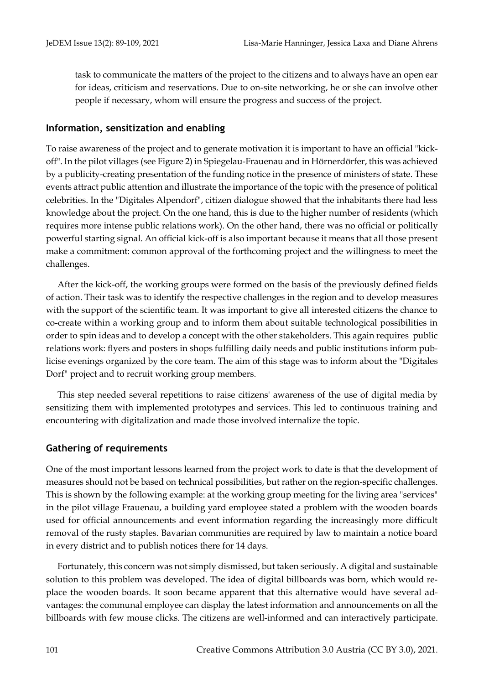task to communicate the matters of the project to the citizens and to always have an open ear for ideas, criticism and reservations. Due to on-site networking, he or she can involve other people if necessary, whom will ensure the progress and success of the project.

#### **Information, sensitization and enabling**

To raise awareness of the project and to generate motivation it is important to have an official "kickoff". In the pilot villages (see [Figure 2\)](#page-8-0) in Spiegelau-Frauenau and in Hörnerdörfer, this was achieved by a publicity-creating presentation of the funding notice in the presence of ministers of state. These events attract public attention and illustrate the importance of the topic with the presence of political celebrities. In the "Digitales Alpendorf", citizen dialogue showed that the inhabitants there had less knowledge about the project. On the one hand, this is due to the higher number of residents (which requires more intense public relations work). On the other hand, there was no official or politically powerful starting signal. An official kick-off is also important because it means that all those present make a commitment: common approval of the forthcoming project and the willingness to meet the challenges.

After the kick-off, the working groups were formed on the basis of the previously defined fields of action. Their task was to identify the respective challenges in the region and to develop measures with the support of the scientific team. It was important to give all interested citizens the chance to co-create within a working group and to inform them about suitable technological possibilities in order to spin ideas and to develop a concept with the other stakeholders. This again requires public relations work: flyers and posters in shops fulfilling daily needs and public institutions inform publicise evenings organized by the core team. The aim of this stage was to inform about the "Digitales Dorf" project and to recruit working group members.

This step needed several repetitions to raise citizens' awareness of the use of digital media by sensitizing them with implemented prototypes and services. This led to continuous training and encountering with digitalization and made those involved internalize the topic.

#### **Gathering of requirements**

One of the most important lessons learned from the project work to date is that the development of measures should not be based on technical possibilities, but rather on the region-specific challenges. This is shown by the following example: at the working group meeting for the living area "services" in the pilot village Frauenau, a building yard employee stated a problem with the wooden boards used for official announcements and event information regarding the increasingly more difficult removal of the rusty staples. Bavarian communities are required by law to maintain a notice board in every district and to publish notices there for 14 days.

Fortunately, this concern was not simply dismissed, but taken seriously. A digital and sustainable solution to this problem was developed. The idea of digital billboards was born, which would replace the wooden boards. It soon became apparent that this alternative would have several advantages: the communal employee can display the latest information and announcements on all the billboards with few mouse clicks. The citizens are well-informed and can interactively participate.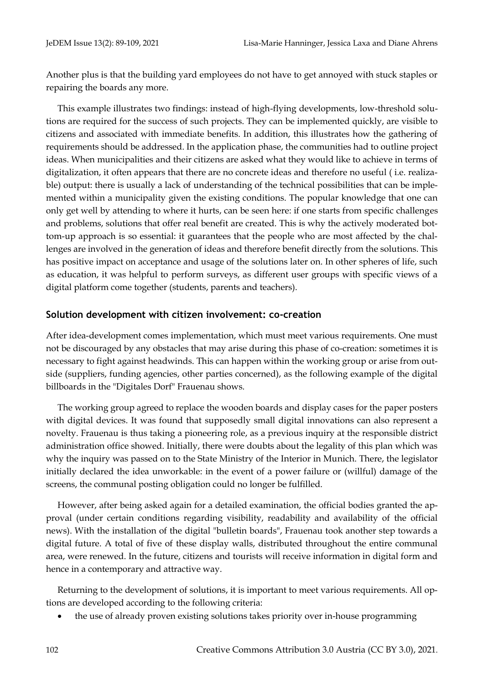Another plus is that the building yard employees do not have to get annoyed with stuck staples or repairing the boards any more.

This example illustrates two findings: instead of high-flying developments, low-threshold solutions are required for the success of such projects. They can be implemented quickly, are visible to citizens and associated with immediate benefits. In addition, this illustrates how the gathering of requirements should be addressed. In the application phase, the communities had to outline project ideas. When municipalities and their citizens are asked what they would like to achieve in terms of digitalization, it often appears that there are no concrete ideas and therefore no useful ( i.e. realizable) output: there is usually a lack of understanding of the technical possibilities that can be implemented within a municipality given the existing conditions. The popular knowledge that one can only get well by attending to where it hurts, can be seen here: if one starts from specific challenges and problems, solutions that offer real benefit are created. This is why the actively moderated bottom-up approach is so essential: it guarantees that the people who are most affected by the challenges are involved in the generation of ideas and therefore benefit directly from the solutions. This has positive impact on acceptance and usage of the solutions later on. In other spheres of life, such as education, it was helpful to perform surveys, as different user groups with specific views of a digital platform come together (students, parents and teachers).

#### **Solution development with citizen involvement: co-creation**

After idea-development comes implementation, which must meet various requirements. One must not be discouraged by any obstacles that may arise during this phase of co-creation: sometimes it is necessary to fight against headwinds. This can happen within the working group or arise from outside (suppliers, funding agencies, other parties concerned), as the following example of the digital billboards in the "Digitales Dorf" Frauenau shows.

The working group agreed to replace the wooden boards and display cases for the paper posters with digital devices. It was found that supposedly small digital innovations can also represent a novelty. Frauenau is thus taking a pioneering role, as a previous inquiry at the responsible district administration office showed. Initially, there were doubts about the legality of this plan which was why the inquiry was passed on to the State Ministry of the Interior in Munich. There, the legislator initially declared the idea unworkable: in the event of a power failure or (willful) damage of the screens, the communal posting obligation could no longer be fulfilled.

However, after being asked again for a detailed examination, the official bodies granted the approval (under certain conditions regarding visibility, readability and availability of the official news). With the installation of the digital "bulletin boards", Frauenau took another step towards a digital future. A total of five of these display walls, distributed throughout the entire communal area, were renewed. In the future, citizens and tourists will receive information in digital form and hence in a contemporary and attractive way.

Returning to the development of solutions, it is important to meet various requirements. All options are developed according to the following criteria:

• the use of already proven existing solutions takes priority over in-house programming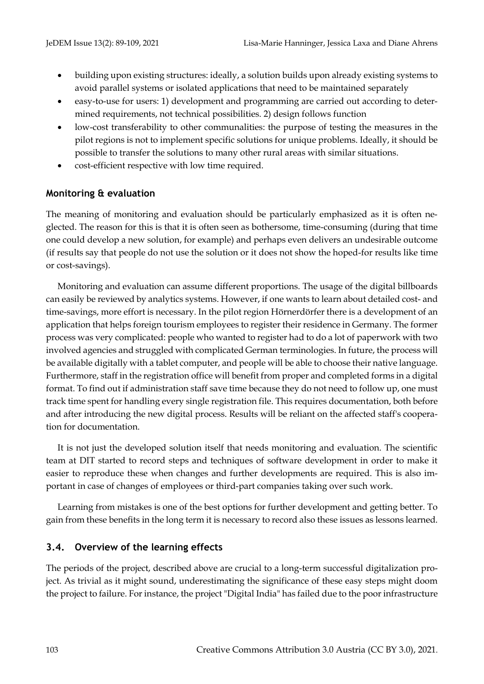- building upon existing structures: ideally, a solution builds upon already existing systems to avoid parallel systems or isolated applications that need to be maintained separately
- easy-to-use for users: 1) development and programming are carried out according to determined requirements, not technical possibilities. 2) design follows function
- low-cost transferability to other communalities: the purpose of testing the measures in the pilot regions is not to implement specific solutions for unique problems. Ideally, it should be possible to transfer the solutions to many other rural areas with similar situations.
- cost-efficient respective with low time required.

### **Monitoring & evaluation**

The meaning of monitoring and evaluation should be particularly emphasized as it is often neglected. The reason for this is that it is often seen as bothersome, time-consuming (during that time one could develop a new solution, for example) and perhaps even delivers an undesirable outcome (if results say that people do not use the solution or it does not show the hoped-for results like time or cost-savings).

Monitoring and evaluation can assume different proportions. The usage of the digital billboards can easily be reviewed by analytics systems. However, if one wants to learn about detailed cost- and time-savings, more effort is necessary. In the pilot region Hörnerdörfer there is a development of an application that helps foreign tourism employees to register their residence in Germany. The former process was very complicated: people who wanted to register had to do a lot of paperwork with two involved agencies and struggled with complicated German terminologies. In future, the process will be available digitally with a tablet computer, and people will be able to choose their native language. Furthermore, staff in the registration office will benefit from proper and completed forms in a digital format. To find out if administration staff save time because they do not need to follow up, one must track time spent for handling every single registration file. This requires documentation, both before and after introducing the new digital process. Results will be reliant on the affected staff's cooperation for documentation.

It is not just the developed solution itself that needs monitoring and evaluation. The scientific team at DIT started to record steps and techniques of software development in order to make it easier to reproduce these when changes and further developments are required. This is also important in case of changes of employees or third-part companies taking over such work.

Learning from mistakes is one of the best options for further development and getting better. To gain from these benefits in the long term it is necessary to record also these issues as lessons learned.

#### **3.4. Overview of the learning effects**

The periods of the project, described above are crucial to a long-term successful digitalization project. As trivial as it might sound, underestimating the significance of these easy steps might doom the project to failure. For instance, the project "Digital India" has failed due to the poor infrastructure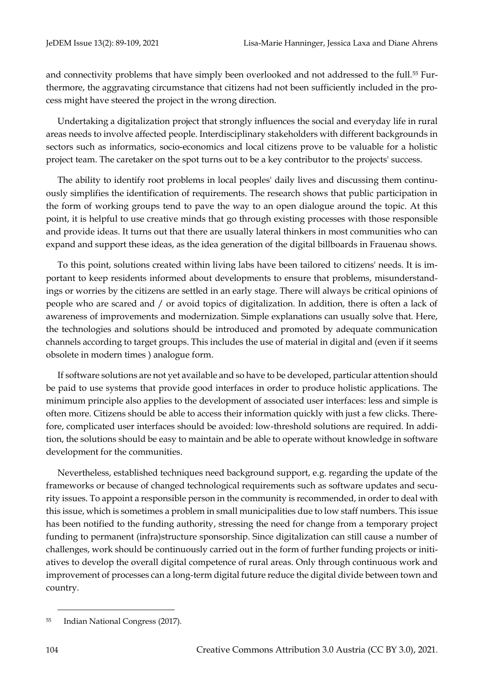and connectivity problems that have simply been overlooked and not addressed to the full.<sup>55</sup> Furthermore, the aggravating circumstance that citizens had not been sufficiently included in the process might have steered the project in the wrong direction.

Undertaking a digitalization project that strongly influences the social and everyday life in rural areas needs to involve affected people. Interdisciplinary stakeholders with different backgrounds in sectors such as informatics, socio-economics and local citizens prove to be valuable for a holistic project team. The caretaker on the spot turns out to be a key contributor to the projects' success.

The ability to identify root problems in local peoples' daily lives and discussing them continuously simplifies the identification of requirements. The research shows that public participation in the form of working groups tend to pave the way to an open dialogue around the topic. At this point, it is helpful to use creative minds that go through existing processes with those responsible and provide ideas. It turns out that there are usually lateral thinkers in most communities who can expand and support these ideas, as the idea generation of the digital billboards in Frauenau shows.

To this point, solutions created within living labs have been tailored to citizens' needs. It is important to keep residents informed about developments to ensure that problems, misunderstandings or worries by the citizens are settled in an early stage. There will always be critical opinions of people who are scared and / or avoid topics of digitalization. In addition, there is often a lack of awareness of improvements and modernization. Simple explanations can usually solve that. Here, the technologies and solutions should be introduced and promoted by adequate communication channels according to target groups. This includes the use of material in digital and (even if it seems obsolete in modern times ) analogue form.

If software solutions are not yet available and so have to be developed, particular attention should be paid to use systems that provide good interfaces in order to produce holistic applications. The minimum principle also applies to the development of associated user interfaces: less and simple is often more. Citizens should be able to access their information quickly with just a few clicks. Therefore, complicated user interfaces should be avoided: low-threshold solutions are required. In addition, the solutions should be easy to maintain and be able to operate without knowledge in software development for the communities.

Nevertheless, established techniques need background support, e.g. regarding the update of the frameworks or because of changed technological requirements such as software updates and security issues. To appoint a responsible person in the community is recommended, in order to deal with this issue, which is sometimes a problem in small municipalities due to low staff numbers. This issue has been notified to the funding authority, stressing the need for change from a temporary project funding to permanent (infra)structure sponsorship. Since digitalization can still cause a number of challenges, work should be continuously carried out in the form of further funding projects or initiatives to develop the overall digital competence of rural areas. Only through continuous work and improvement of processes can a long-term digital future reduce the digital divide between town and country.

<sup>55</sup> [Indian](https://www.inc.in/en/in-focus/digital-india-fails-to-make-its-mark) National Congress (2017).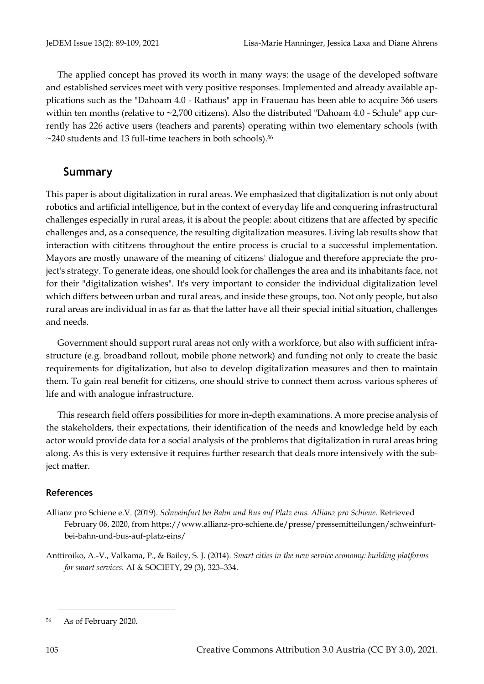The applied concept has proved its worth in many ways: the usage of the developed software and established services meet with very positive responses. Implemented and already available applications such as the "Dahoam 4.0 - Rathaus" app in Frauenau has been able to acquire 366 users within ten months (relative to  $\sim$ 2,700 citizens). Also the distributed "Dahoam 4.0 - Schule" app currently has 226 active users (teachers and parents) operating within two elementary schools (with  $\sim$ 240 students and 13 full-time teachers in both schools).<sup>56</sup>

## **Summary**

This paper is about digitalization in rural areas. We emphasized that digitalization is not only about robotics and artificial intelligence, but in the context of everyday life and conquering infrastructural challenges especially in rural areas, it is about the people: about citizens that are affected by specific challenges and, as a consequence, the resulting digitalization measures. Living lab results show that interaction with cititzens throughout the entire process is crucial to a successful implementation. Mayors are mostly unaware of the meaning of citizens' dialogue and therefore appreciate the project's strategy. To generate ideas, one should look for challenges the area and its inhabitants face, not for their "digitalization wishes". It's very important to consider the individual digitalization level which differs between urban and rural areas, and inside these groups, too. Not only people, but also rural areas are individual in as far as that the latter have all their special initial situation, challenges and needs.

Government should support rural areas not only with a workforce, but also with sufficient infrastructure (e.g. broadband rollout, mobile phone network) and funding not only to create the basic requirements for digitalization, but also to develop digitalization measures and then to maintain them. To gain real benefit for citizens, one should strive to connect them across various spheres of life and with analogue infrastructure.

This research field offers possibilities for more in-depth examinations. A more precise analysis of the stakeholders, their expectations, their identification of the needs and knowledge held by each actor would provide data for a social analysis of the problems that digitalization in rural areas bring along. As this is very extensive it requires further research that deals more intensively with the subject matter.

#### **References**

- Allianz pro Schiene e.V. (2019). *Schweinfurt bei Bahn und Bus auf Platz eins. Allianz pro Schiene.* Retrieved February 06, 2020, from https://www.allianz-pro-schiene.de/presse/pressemitteilungen/schweinfurtbei-bahn-und-bus-auf-platz-eins/
- Anttiroiko, A.-V., Valkama, P., & Bailey, S. J. (2014). *Smart cities in the new service economy: building platforms for smart services.* AI & SOCIETY, 29 (3), 323–334.

<sup>56</sup> As of February 2020.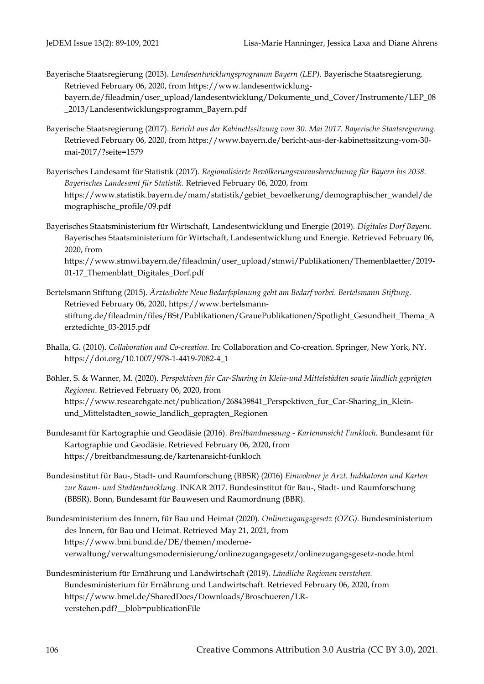- Bayerische Staatsregierung (2013). *Landesentwicklungsprogramm Bayern (LEP)*. Bayerische Staatsregierung. Retrieved February 06, 2020, from [https://www.landesentwicklung](https://www.landesentwicklung-bayern.de/fileadmin/user_upload/landesentwicklung/Dokumente_und_Cover/Instrumente/LEP_08_2013/Landesentwicklungsprogramm_Bayern.pdf)[bayern.de/fileadmin/user\\_upload/landesentwicklung/Dokumente\\_und\\_Cover/Instrumente/LEP\\_08](https://www.landesentwicklung-bayern.de/fileadmin/user_upload/landesentwicklung/Dokumente_und_Cover/Instrumente/LEP_08_2013/Landesentwicklungsprogramm_Bayern.pdf) [\\_2013/Landesentwicklungsprogramm\\_Bayern.pdf](https://www.landesentwicklung-bayern.de/fileadmin/user_upload/landesentwicklung/Dokumente_und_Cover/Instrumente/LEP_08_2013/Landesentwicklungsprogramm_Bayern.pdf)
- Bayerische Staatsregierung (2017). *Bericht aus der Kabinettssitzung vom 30. Mai 2017. Bayerische Staatsregierung.*  Retrieved February 06, 2020, from https://www.bayern.de/bericht-aus-der-kabinettssitzung-vom-30 mai-2017/?seite=1579
- Bayerisches Landesamt für Statistik (2017). *Regionalisierte Bevölkerungsvorausberechnung für Bayern bis 2038. Bayerisches Landesamt für Statistik.* Retrieved February 06, 2020, from https://www.statistik.bayern.de/mam/statistik/gebiet\_bevoelkerung/demographischer\_wandel/de mographische\_profile/09.pdf

Bayerisches Staatsministerium für Wirtschaft, Landesentwicklung und Energie (2019). *Digitales Dorf Bayern.* Bayerisches Staatsministerium für Wirtschaft, Landesentwicklung und Energie. Retrieved February 06, 2020, from https://www.stmwi.bayern.de/fileadmin/user\_upload/stmwi/Publikationen/Themenblaetter/2019- 01-17\_Themenblatt\_Digitales\_Dorf.pdf

- Bertelsmann Stiftung (2015). *Ärztedichte Neue Bedarfsplanung geht am Bedarf vorbei. Bertelsmann Stiftung.*  Retrieved February 06, 2020[, https://www.bertelsmann](https://www.bertelsmann-stiftung.de/fileadmin/files/BSt/Publikationen/GrauePublikationen/Spotlight_Gesundheit_Thema_Aerztedichte_03-2015.pdf)[stiftung.de/fileadmin/files/BSt/Publikationen/GrauePublikationen/Spotlight\\_Gesundheit\\_Thema\\_A](https://www.bertelsmann-stiftung.de/fileadmin/files/BSt/Publikationen/GrauePublikationen/Spotlight_Gesundheit_Thema_Aerztedichte_03-2015.pdf) [erztedichte\\_03-2015.pdf](https://www.bertelsmann-stiftung.de/fileadmin/files/BSt/Publikationen/GrauePublikationen/Spotlight_Gesundheit_Thema_Aerztedichte_03-2015.pdf)
- Bhalla, G. (2010). *Collaboration and Co-creation.* In: Collaboration and Co-creation. Springer, New York, NY. https://doi.org/10.1007/978-1-4419-7082-4\_1
- Böhler, S. & Wanner, M. (2020). *Perspektiven für Car-Sharing in Klein-und Mittelstädten sowie ländlich geprägten Regionen*. Retrieved February 06, 2020, from https://www.researchgate.net/publication/268439841\_Perspektiven\_fur\_Car-Sharing\_in\_Kleinund\_Mittelstadten\_sowie\_landlich\_gepragten\_Regionen
- Bundesamt für Kartographie und Geodäsie (2016). *Breitbandmessung - Kartenansicht Funkloch.* Bundesamt für Kartographie und Geodäsie. Retrieved February 06, 2020, from https://breitbandmessung.de/kartenansicht-funkloch
- Bundesinstitut für Bau-, Stadt- und Raumforschung (BBSR) (2016) *Einwohner je Arzt. Indikatoren und Karten zur Raum- und Stadtentwicklung*. INKAR 2017. Bundesinstitut für Bau-, Stadt- und Raumforschung (BBSR). Bonn, Bundesamt für Bauwesen und Raumordnung (BBR).
- Bundesministerium des Innern, für Bau und Heimat (2020). *Onlinezugangsgesetz (OZG).* Bundesministerium des Innern, für Bau und Heimat. Retrieved May 21, 2021, from https://www.bmi.bund.de/DE/themen/moderneverwaltung/verwaltungsmodernisierung/onlinezugangsgesetz/onlinezugangsgesetz-node.html
- Bundesministerium für Ernährung und Landwirtschaft (2019). *Ländliche Regionen verstehen.* Bundesministerium für Ernährung und Landwirtschaft. Retrieved February 06, 2020, from https://www.bmel.de/SharedDocs/Downloads/Broschueren/LRverstehen.pdf?\_\_blob=publicationFile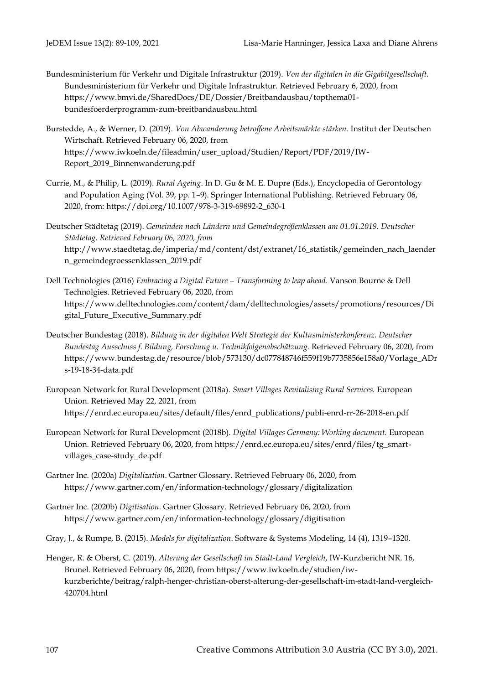- Bundesministerium für Verkehr und Digitale Infrastruktur (2019). *Von der digitalen in die Gigabitgesellschaft.*  Bundesministerium für Verkehr und Digitale Infrastruktur. Retrieved February 6, 2020, from https://www.bmvi.de/SharedDocs/DE/Dossier/Breitbandausbau/topthema01 bundesfoerderprogramm-zum-breitbandausbau.html
- Burstedde, A., & Werner, D. (2019). *Von Abwanderung betroffene Arbeitsmärkte stärken*. Institut der Deutschen Wirtschaft. Retrieved February 06, 2020, from [https://www.iwkoeln.de/fileadmin/user\\_upload/Studien/Report/PDF/2019/IW-](https://www.iwkoeln.de/fileadmin/user_upload/Studien/Report/PDF/2019/IW-Report_2019_Binnenwanderung.pdf)[Report\\_2019\\_Binnenwanderung.pdf](https://www.iwkoeln.de/fileadmin/user_upload/Studien/Report/PDF/2019/IW-Report_2019_Binnenwanderung.pdf)
- Currie, M., & Philip, L. (2019). *Rural Ageing*. In D. Gu & M. E. Dupre (Eds.), Encyclopedia of Gerontology and Population Aging (Vol. 39, pp. 1–9). Springer International Publishing. Retrieved February 06, 2020, from: [https://doi.org/10.1007/978-3-319-69892-2\\_630-1](https://doi.org/10.1007/978-3-319-69892-2_630-1)
- Deutscher Städtetag (2019). *Gemeinden nach Ländern und Gemeindegrößenklassen am 01.01.2019. Deutscher Städtetag. Retrieved February 06, 2020, from*  [http://www.staedtetag.de/imperia/md/content/dst/extranet/16\\_statistik/gemeinden\\_nach\\_laender](http://www.staedtetag.de/imperia/md/content/dst/extranet/16_statistik/gemeinden_nach_laendern_gemeindegroessenklassen_2019.pdf) [n\\_gemeindegroessenklassen\\_2019.pdf](http://www.staedtetag.de/imperia/md/content/dst/extranet/16_statistik/gemeinden_nach_laendern_gemeindegroessenklassen_2019.pdf)
- Dell Technologies (2016) *Embracing a Digital Future – Transforming to leap ahead*. Vanson Bourne & Dell Technolgies. Retrieved February 06, 2020, from https://www.delltechnologies.com/content/dam/delltechnologies/assets/promotions/resources/Di gital\_Future\_Executive\_Summary.pdf
- Deutscher Bundestag (2018). *Bildung in der digitalen Welt Strategie der Kultusministerkonferenz. Deutscher Bundestag Ausschuss f. Bildung, Forschung u. Technikfolgenabschätzung.* Retrieved February 06, 2020, from [https://www.bundestag.de/resource/blob/573130/dc077848746f559f19b7735856e158a0/Vorlage\\_ADr](https://www.bundestag.de/resource/blob/573130/dc077848746f559f19b7735856e158a0/Vorlage_ADrs-19-18-34-data.pdf) [s-19-18-34-data.pdf](https://www.bundestag.de/resource/blob/573130/dc077848746f559f19b7735856e158a0/Vorlage_ADrs-19-18-34-data.pdf)
- European Network for Rural Development (2018a). *Smart Villages Revitalising Rural Services.* European Union. Retrieved May 22, 2021, from https://enrd.ec.europa.eu/sites/default/files/enrd\_publications/publi-enrd-rr-26-2018-en.pdf
- European Network for Rural Development (2018b). *Digital Villages Germany: Working document.* European Union. Retrieved February 06, 2020, from https://enrd.ec.europa.eu/sites/enrd/files/tg\_smartvillages\_case-study\_de.pdf
- Gartner Inc. (2020a) *Digitalization*. Gartner Glossary. Retrieved February 06, 2020, from https://www.gartner.com/en/information-technology/glossary/digitalization
- Gartner Inc. (2020b) *Digitisation*. Gartner Glossary. Retrieved February 06, 2020, from https://www.gartner.com/en/information-technology/glossary/digitisation
- Gray, J., & Rumpe, B. (2015). *Models for digitalization*. Software & Systems Modeling, 14 (4), 1319–1320.
- Henger, R. & Oberst, C. (2019). *Alterung der Gesellschaft im Stadt-Land Vergleich*, IW-Kurzbericht NR. 16, Brunel. Retrieved February 06, 2020, from https://www.iwkoeln.de/studien/iwkurzberichte/beitrag/ralph-henger-christian-oberst-alterung-der-gesellschaft-im-stadt-land-vergleich-420704.html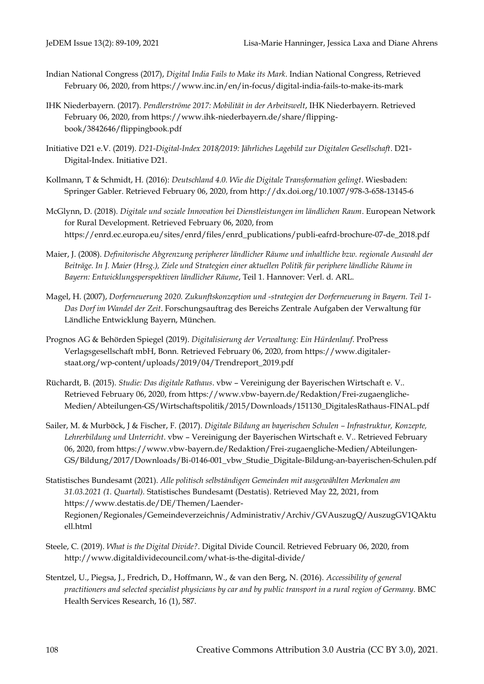- Indian National Congress (2017), *Digital India Fails to Make its Mark*. Indian National Congress, Retrieved February 06, 2020, from https://www.inc.in/en/in-focus/digital-india-fails-to-make-its-mark
- IHK Niederbayern. (2017). *Pendlerströme 2017: Mobilität in der Arbeitswelt*, IHK Niederbayern. Retrieved February 06, 2020, from https://www.ihk-niederbayern.de/share/flippingbook/3842646/flippingbook.pdf
- Initiative D21 e.V. (2019). *D21-Digital-Index 2018/2019: Jährliches Lagebild zur Digitalen Gesellschaft*. D21- Digital-Index. Initiative D21.
- Kollmann, T & Schmidt, H. (2016): *Deutschland 4.0. Wie die Digitale Transformation gelingt*. Wiesbaden: Springer Gabler. Retrieved February 06, 2020, from<http://dx.doi.org/10.1007/978-3-658-13145-6>
- McGlynn, D. (2018). *Digitale und soziale Innovation bei Dienstleistungen im ländlichen Raum*. European Network for Rural Development. Retrieved February 06, 2020, from https://enrd.ec.europa.eu/sites/enrd/files/enrd\_publications/publi-eafrd-brochure-07-de\_2018.pdf
- Maier, J. (2008). *Definitorische Abgrenzung peripherer ländlicher Räume und inhaltliche bzw. regionale Auswahl der Beiträge. In J. Maier (Hrsg.), Ziele und Strategien einer aktuellen Politik für periphere ländliche Räume in Bayern: Entwicklungsperspektiven ländlicher Räume*, Teil 1. Hannover: Verl. d. ARL.
- Magel, H. (2007), *Dorferneuerung 2020. Zukunftskonzeption und -strategien der Dorferneuerung in Bayern. Teil 1- Das Dorf im Wandel der Zeit*. Forschungsauftrag des Bereichs Zentrale Aufgaben der Verwaltung für Ländliche Entwicklung Bayern, München.
- Prognos AG & Behörden Spiegel (2019). *Digitalisierung der Verwaltung: Ein Hürdenlauf*. ProPress Verlagsgesellschaft mbH, Bonn. Retrieved February 06, 2020, from [https://www.digitaler](https://www.digitaler-staat.org/wp-content/uploads/2019/04/Trendreport_2019.pdf)[staat.org/wp-content/uploads/2019/04/Trendreport\\_2019.pdf](https://www.digitaler-staat.org/wp-content/uploads/2019/04/Trendreport_2019.pdf)
- Rüchardt, B. (2015). *Studie: Das digitale Rathaus*. vbw Vereinigung der Bayerischen Wirtschaft e. V.. Retrieved February 06, 2020, from [https://www.vbw-bayern.de/Redaktion/Frei-zugaengliche-](https://www.vbw-bayern.de/Redaktion/Frei-zugaengliche-Medien/Abteilungen-GS/Wirtschaftspolitik/2015/Downloads/151130_DigitalesRathaus-FINAL.pdf)[Medien/Abteilungen-GS/Wirtschaftspolitik/2015/Downloads/151130\\_DigitalesRathaus-FINAL.pdf](https://www.vbw-bayern.de/Redaktion/Frei-zugaengliche-Medien/Abteilungen-GS/Wirtschaftspolitik/2015/Downloads/151130_DigitalesRathaus-FINAL.pdf)
- Sailer, M. & Murböck, J & Fischer, F. (2017). *Digitale Bildung an bayerischen Schulen – Infrastruktur, Konzepte, Lehrerbildung und Unterricht*. vbw – Vereinigung der Bayerischen Wirtschaft e. V.. Retrieved February 06, 2020, from https://www.vbw-bayern.de/Redaktion/Frei-zugaengliche-Medien/Abteilungen-GS/Bildung/2017/Downloads/Bi-0146-001\_vbw\_Studie\_Digitale-Bildung-an-bayerischen-Schulen.pdf
- Statistisches Bundesamt (2021). *Alle politisch selbständigen Gemeinden mit ausgewählten Merkmalen am 31.03.2021 (1. Quartal).* Statistisches Bundesamt (Destatis). Retrieved May 22, 2021, from https://www.destatis.de/DE/Themen/Laender-Regionen/Regionales/Gemeindeverzeichnis/Administrativ/Archiv/GVAuszugQ/AuszugGV1QAktu ell.html
- Steele, C. (2019). *What is the Digital Divide?*. Digital Divide Council. Retrieved February 06, 2020, from http://www.digitaldividecouncil.com/what-is-the-digital-divide/
- Stentzel, U., Piegsa, J., Fredrich, D., Hoffmann, W., & van den Berg, N. (2016). *Accessibility of general practitioners and selected specialist physicians by car and by public transport in a rural region of Germany*. BMC Health Services Research, 16 (1), 587.